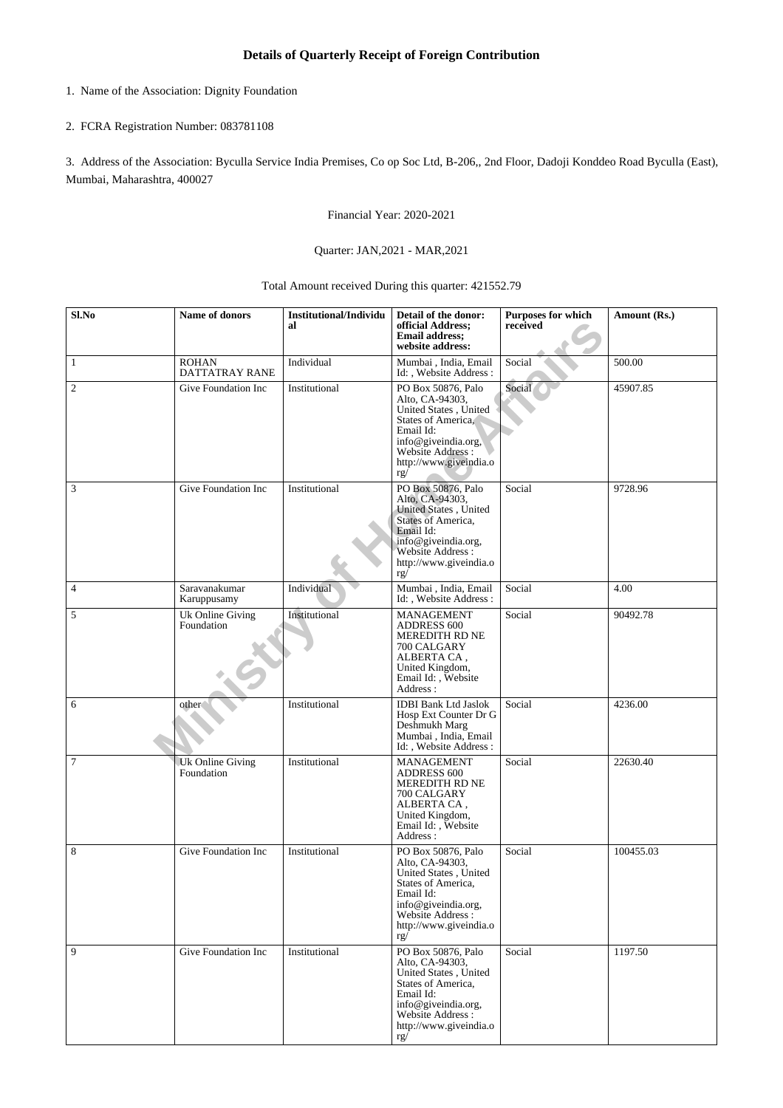- 1. Name of the Association: Dignity Foundation
- 2. FCRA Registration Number: 083781108

3. Address of the Association: Byculla Service India Premises, Co op Soc Ltd, B-206,, 2nd Floor, Dadoji Konddeo Road Byculla (East), Mumbai, Maharashtra, 400027

Financial Year: 2020-2021

## Quarter: JAN,2021 - MAR,2021

Total Amount received During this quarter: 421552.79

| Sl.No          | <b>Name of donors</b>          | <b>Institutional/Individu</b><br>al | Detail of the donor:<br>official Address;<br><b>Email address:</b><br>website address:                                                                                                | Purposes for which<br>received | Amount (Rs.) |
|----------------|--------------------------------|-------------------------------------|---------------------------------------------------------------------------------------------------------------------------------------------------------------------------------------|--------------------------------|--------------|
| $\mathbf{1}$   | <b>ROHAN</b><br>DATTATRAY RANE | Individual                          | Mumbai, India, Email<br>Id:, Website Address:                                                                                                                                         | Social                         | 500.00       |
| $\mathfrak{2}$ | Give Foundation Inc            | Institutional                       | PO Box 50876, Palo<br>Alto, CA-94303,<br>United States, United<br><b>States of America,</b><br>Email Id:<br>info@giveindia.org,<br>Website Address :<br>http://www.giveindia.o<br>rg/ | Social                         | 45907.85     |
| 3              | Give Foundation Inc            | Institutional                       | PO Box 50876, Palo<br>Alto, CA-94303,<br>United States, United<br><b>States of America,</b><br>Email Id:<br>info@giveindia.org,<br>Website Address:<br>http://www.giveindia.o<br>rg/  | Social                         | 9728.96      |
| $\overline{4}$ | Saravanakumar<br>Karuppusamy   | Individual                          | Mumbai, India, Email<br>Id:, Website Address:                                                                                                                                         | Social                         | 4.00         |
| 5              | Uk Online Giving<br>Foundation | Institutional                       | MANAGEMENT<br><b>ADDRESS 600</b><br>MEREDITH RD NE<br>700 CALGARY<br>ALBERTA CA,<br>United Kingdom,<br>Email Id: , Website<br>Address:                                                | Social                         | 90492.78     |
| 6              | other                          | Institutional                       | <b>IDBI Bank Ltd Jaslok</b><br>Hosp Ext Counter Dr G<br>Deshmukh Marg<br>Mumbai, India, Email<br>Id:, Website Address:                                                                | Social                         | 4236.00      |
| $\overline{7}$ | Uk Online Giving<br>Foundation | Institutional                       | MANAGEMENT<br><b>ADDRESS 600</b><br>MEREDITH RD NE<br>700 CALGARY<br>ALBERTA CA,<br>United Kingdom,<br>Email Id: , Website<br>Address:                                                | Social                         | 22630.40     |
| 8              | Give Foundation Inc            | Institutional                       | PO Box 50876, Palo<br>Alto, CA-94303,<br>United States, United<br>States of America,<br>Email Id:<br>info@giveindia.org,<br>Website Address:<br>http://www.giveindia.o<br>rg/         | Social                         | 100455.03    |
| 9              | Give Foundation Inc            | Institutional                       | PO Box 50876, Palo<br>Alto, CA-94303,<br>United States, United<br>States of America,<br>Email Id:<br>info@giveindia.org,<br>Website Address:<br>http://www.giveindia.o<br>rg/         | Social                         | 1197.50      |